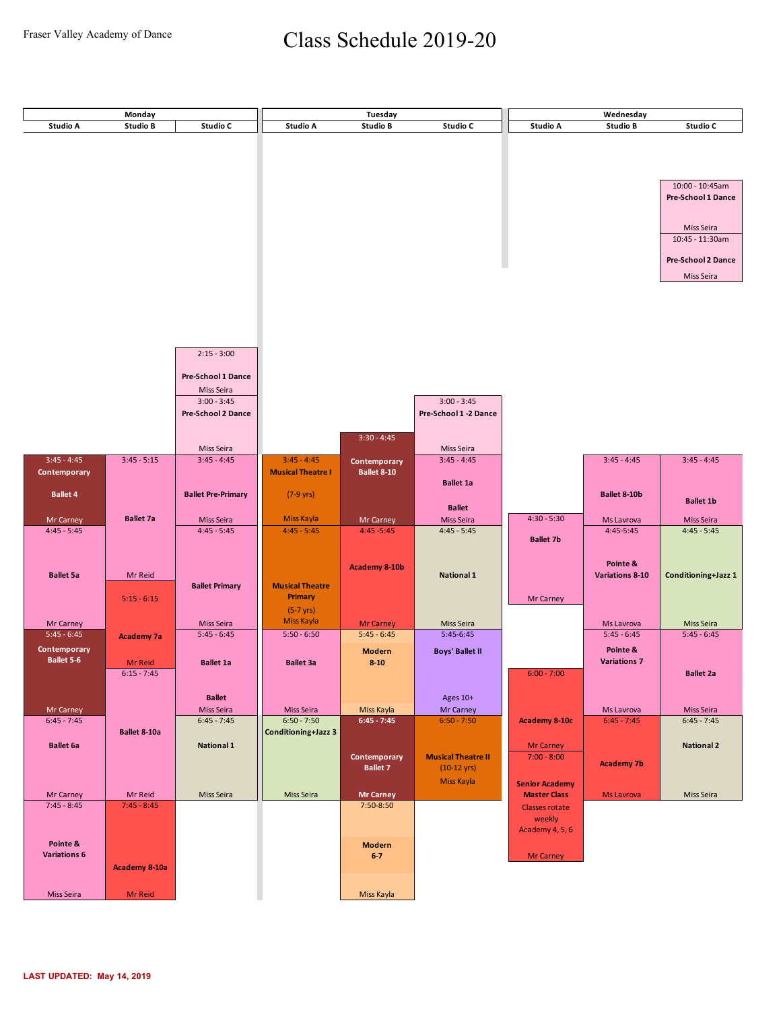## Fraser Valley Academy of Dance Class Schedule 2019-20

| Monday                        |                          |                                            | Tuesday                                   |                             |                                        | Wednesday                                    |                             |                               |  |
|-------------------------------|--------------------------|--------------------------------------------|-------------------------------------------|-----------------------------|----------------------------------------|----------------------------------------------|-----------------------------|-------------------------------|--|
| Studio A                      | <b>Studio B</b>          | Studio C                                   | Studio A                                  | <b>Studio B</b>             | Studio C                               | Studio A                                     | <b>Studio B</b>             | Studio C                      |  |
|                               |                          |                                            |                                           |                             |                                        |                                              |                             |                               |  |
|                               |                          |                                            |                                           |                             |                                        |                                              |                             |                               |  |
|                               |                          |                                            |                                           |                             |                                        |                                              |                             | 10:00 - 10:45am               |  |
|                               |                          |                                            |                                           |                             |                                        |                                              |                             | Pre-School 1 Dance            |  |
|                               |                          |                                            |                                           |                             |                                        |                                              |                             |                               |  |
|                               |                          |                                            |                                           |                             |                                        |                                              |                             | Miss Seira<br>10:45 - 11:30am |  |
|                               |                          |                                            |                                           |                             |                                        |                                              |                             |                               |  |
|                               |                          |                                            |                                           |                             |                                        |                                              |                             | Pre-School 2 Dance            |  |
|                               |                          |                                            |                                           |                             |                                        |                                              |                             | Miss Seira                    |  |
|                               |                          |                                            |                                           |                             |                                        |                                              |                             |                               |  |
|                               |                          |                                            |                                           |                             |                                        |                                              |                             |                               |  |
|                               |                          |                                            |                                           |                             |                                        |                                              |                             |                               |  |
|                               |                          |                                            |                                           |                             |                                        |                                              |                             |                               |  |
|                               |                          | $2:15 - 3:00$                              |                                           |                             |                                        |                                              |                             |                               |  |
|                               |                          | Pre-School 1 Dance                         |                                           |                             |                                        |                                              |                             |                               |  |
|                               |                          | Miss Seira                                 |                                           |                             |                                        |                                              |                             |                               |  |
|                               |                          | $3:00 - 3:45$<br><b>Pre-School 2 Dance</b> |                                           |                             | $3:00 - 3:45$<br>Pre-School 1 -2 Dance |                                              |                             |                               |  |
|                               |                          |                                            |                                           |                             |                                        |                                              |                             |                               |  |
|                               |                          |                                            |                                           | $3:30 - 4:45$               |                                        |                                              |                             |                               |  |
|                               |                          | Miss Seira                                 |                                           |                             | Miss Seira                             |                                              |                             |                               |  |
| $3:45 - 4:45$<br>Contemporary | $3:45 - 5:15$            | $3:45 - 4:45$                              | $3:45 - 4:45$<br><b>Musical Theatre I</b> | Contemporary<br>Ballet 8-10 | $3:45 - 4:45$                          |                                              | $3:45 - 4:45$               | $3:45 - 4:45$                 |  |
|                               |                          |                                            |                                           |                             | <b>Ballet 1a</b>                       |                                              |                             |                               |  |
| <b>Ballet 4</b>               |                          | <b>Ballet Pre-Primary</b>                  | $(7-9 \text{ yrs})$                       |                             |                                        |                                              | Ballet 8-10b                | <b>Ballet 1b</b>              |  |
| Mr Carney                     | <b>Ballet 7a</b>         | Miss Seira                                 | Miss Kayla                                | Mr Carney                   | <b>Ballet</b><br>Miss Seira            | $4:30 - 5:30$                                | Ms Lavrova                  | Miss Seira                    |  |
| $4:45 - 5:45$                 |                          | $4:45 - 5:45$                              | $4:45 - 5:45$                             | $4:45 - 5:45$               | $4:45 - 5:45$                          |                                              | 4:45-5:45                   | $4:45 - 5:45$                 |  |
|                               |                          |                                            |                                           |                             |                                        | <b>Ballet 7b</b>                             |                             |                               |  |
|                               |                          |                                            |                                           |                             |                                        |                                              | Pointe &                    |                               |  |
| <b>Ballet 5a</b>              | Mr Reid                  |                                            |                                           | <b>Academy 8-10b</b>        | <b>National 1</b>                      |                                              | <b>Variations 8-10</b>      | Conditioning+Jazz 1           |  |
|                               |                          | <b>Ballet Primary</b>                      | <b>Musical Theatre</b><br>Primary         |                             |                                        |                                              |                             |                               |  |
|                               | $5:15 - 6:15$            |                                            | $(5-7 \text{ yrs})$                       |                             |                                        | Mr Carney                                    |                             |                               |  |
| Mr Carney                     |                          | Miss Seira                                 | Miss Kayla                                | <b>Mr Carney</b>            | Miss Seira                             |                                              | Ms Lavrova                  | Miss Seira                    |  |
| $5:45 - 6:45$                 | <b>Academy 7a</b>        | $5:45 - 6:45$                              | $5:50 - 6:50$                             | $5:45 - 6:45$               | $5:45-6:45$                            |                                              | $5:45 - 6:45$               | $5:45 - 6:45$                 |  |
| Contemporary                  |                          |                                            |                                           | <b>Modern</b>               | <b>Boys' Ballet II</b>                 |                                              | Pointe &                    |                               |  |
| <b>Ballet 5-6</b>             | Mr Reid<br>$6:15 - 7:45$ | <b>Ballet 1a</b>                           | <b>Ballet 3a</b>                          | $8 - 10$                    |                                        | $6:00 - 7:00$                                | <b>Variations 7</b>         | <b>Ballet 2a</b>              |  |
|                               |                          |                                            |                                           |                             |                                        |                                              |                             |                               |  |
|                               |                          | <b>Ballet</b>                              |                                           |                             | Ages 10+                               |                                              |                             |                               |  |
| Mr Carney<br>$6:45 - 7:45$    |                          | Miss Seira<br>$6:45 - 7:45$                | Miss Seira<br>$6:50 - 7:50$               | Miss Kayla<br>$6:45 - 7:45$ | Mr Carney<br>$6:50 - 7:50$             | <b>Academy 8-10c</b>                         | Ms Lavrova<br>$6:45 - 7:45$ | Miss Seira<br>$6:45 - 7:45$   |  |
|                               | Ballet 8-10a             |                                            | Conditioning+Jazz 3                       |                             |                                        |                                              |                             |                               |  |
| <b>Ballet 6a</b>              |                          | <b>National 1</b>                          |                                           |                             |                                        | <b>Mr Carney</b>                             |                             | <b>National 2</b>             |  |
|                               |                          |                                            |                                           | Contemporary                | <b>Musical Theatre II</b>              | $7:00 - 8:00$                                | <b>Academy 7b</b>           |                               |  |
|                               |                          |                                            |                                           | <b>Ballet 7</b>             | $(10-12 \text{ yrs})$<br>Miss Kayla    |                                              |                             |                               |  |
| Mr Carney                     | Mr Reid                  | Miss Seira                                 | Miss Seira                                | <b>Mr Carney</b>            |                                        | <b>Senior Academy</b><br><b>Master Class</b> | <b>Ms Lavrova</b>           | Miss Seira                    |  |
| $7:45 - 8:45$                 | $7:45 - 8:45$            |                                            |                                           | 7:50-8:50                   |                                        | <b>Classes rotate</b>                        |                             |                               |  |
|                               |                          |                                            |                                           |                             |                                        | weekly<br>Academy 4, 5, 6                    |                             |                               |  |
| Pointe &                      |                          |                                            |                                           | <b>Modern</b>               |                                        |                                              |                             |                               |  |
| <b>Variations 6</b>           |                          |                                            |                                           | $6 - 7$                     |                                        | <b>Mr Carney</b>                             |                             |                               |  |
|                               | Academy 8-10a            |                                            |                                           |                             |                                        |                                              |                             |                               |  |
|                               |                          |                                            |                                           |                             |                                        |                                              |                             |                               |  |
| Miss Seira                    | Mr Reid                  |                                            |                                           | Miss Kayla                  |                                        |                                              |                             |                               |  |